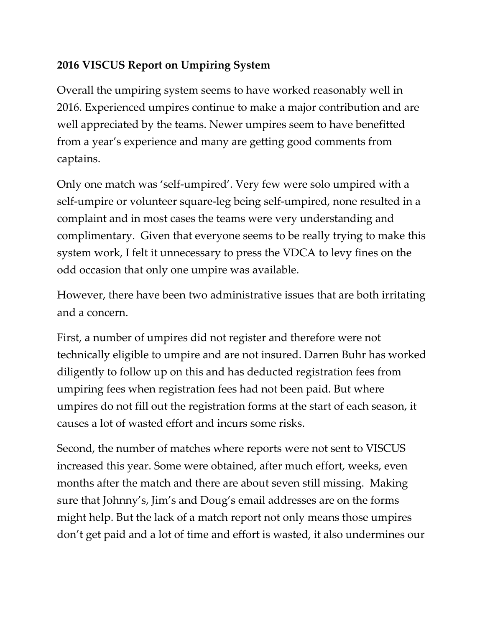## **2016 VISCUS Report on Umpiring System**

Overall the umpiring system seems to have worked reasonably well in 2016. Experienced umpires continue to make a major contribution and are well appreciated by the teams. Newer umpires seem to have benefitted from a year's experience and many are getting good comments from captains.

Only one match was 'self-umpired'. Very few were solo umpired with a self-umpire or volunteer square-leg being self-umpired, none resulted in a complaint and in most cases the teams were very understanding and complimentary. Given that everyone seems to be really trying to make this system work, I felt it unnecessary to press the VDCA to levy fines on the odd occasion that only one umpire was available.

However, there have been two administrative issues that are both irritating and a concern.

First, a number of umpires did not register and therefore were not technically eligible to umpire and are not insured. Darren Buhr has worked diligently to follow up on this and has deducted registration fees from umpiring fees when registration fees had not been paid. But where umpires do not fill out the registration forms at the start of each season, it causes a lot of wasted effort and incurs some risks.

Second, the number of matches where reports were not sent to VISCUS increased this year. Some were obtained, after much effort, weeks, even months after the match and there are about seven still missing. Making sure that Johnny's, Jim's and Doug's email addresses are on the forms might help. But the lack of a match report not only means those umpires don't get paid and a lot of time and effort is wasted, it also undermines our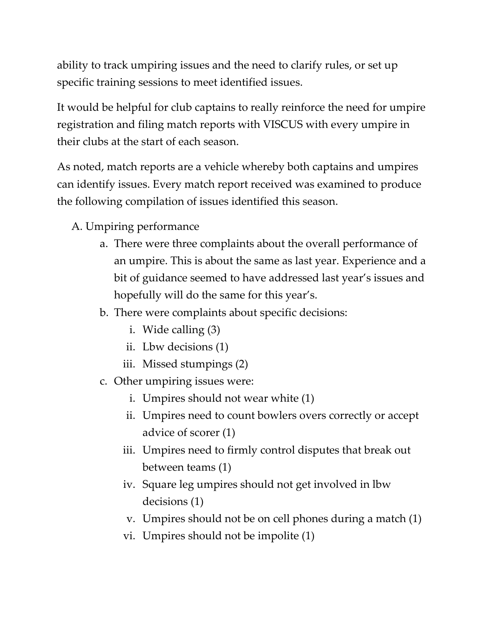ability to track umpiring issues and the need to clarify rules, or set up specific training sessions to meet identified issues.

It would be helpful for club captains to really reinforce the need for umpire registration and filing match reports with VISCUS with every umpire in their clubs at the start of each season.

As noted, match reports are a vehicle whereby both captains and umpires can identify issues. Every match report received was examined to produce the following compilation of issues identified this season.

- A. Umpiring performance
	- a. There were three complaints about the overall performance of an umpire. This is about the same as last year. Experience and a bit of guidance seemed to have addressed last year's issues and hopefully will do the same for this year's.
	- b. There were complaints about specific decisions:
		- i. Wide calling (3)
		- ii. Lbw decisions (1)
		- iii. Missed stumpings (2)
	- c. Other umpiring issues were:
		- i. Umpires should not wear white (1)
		- ii. Umpires need to count bowlers overs correctly or accept advice of scorer (1)
		- iii. Umpires need to firmly control disputes that break out between teams (1)
		- iv. Square leg umpires should not get involved in lbw decisions (1)
		- v. Umpires should not be on cell phones during a match (1)
		- vi. Umpires should not be impolite (1)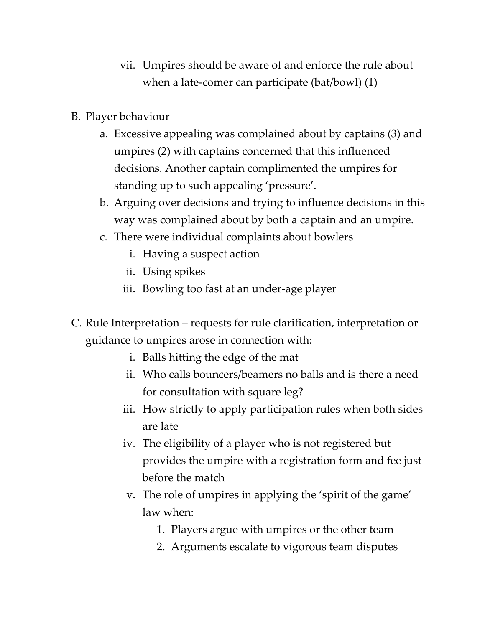- vii. Umpires should be aware of and enforce the rule about when a late-comer can participate (bat/bowl) (1)
- B. Player behaviour
	- a. Excessive appealing was complained about by captains (3) and umpires (2) with captains concerned that this influenced decisions. Another captain complimented the umpires for standing up to such appealing 'pressure'.
	- b. Arguing over decisions and trying to influence decisions in this way was complained about by both a captain and an umpire.
	- c. There were individual complaints about bowlers
		- i. Having a suspect action
		- ii. Using spikes
		- iii. Bowling too fast at an under-age player
- C. Rule Interpretation requests for rule clarification, interpretation or guidance to umpires arose in connection with:
	- i. Balls hitting the edge of the mat
	- ii. Who calls bouncers/beamers no balls and is there a need for consultation with square leg?
	- iii. How strictly to apply participation rules when both sides are late
	- iv. The eligibility of a player who is not registered but provides the umpire with a registration form and fee just before the match
	- v. The role of umpires in applying the 'spirit of the game' law when:
		- 1. Players argue with umpires or the other team
		- 2. Arguments escalate to vigorous team disputes